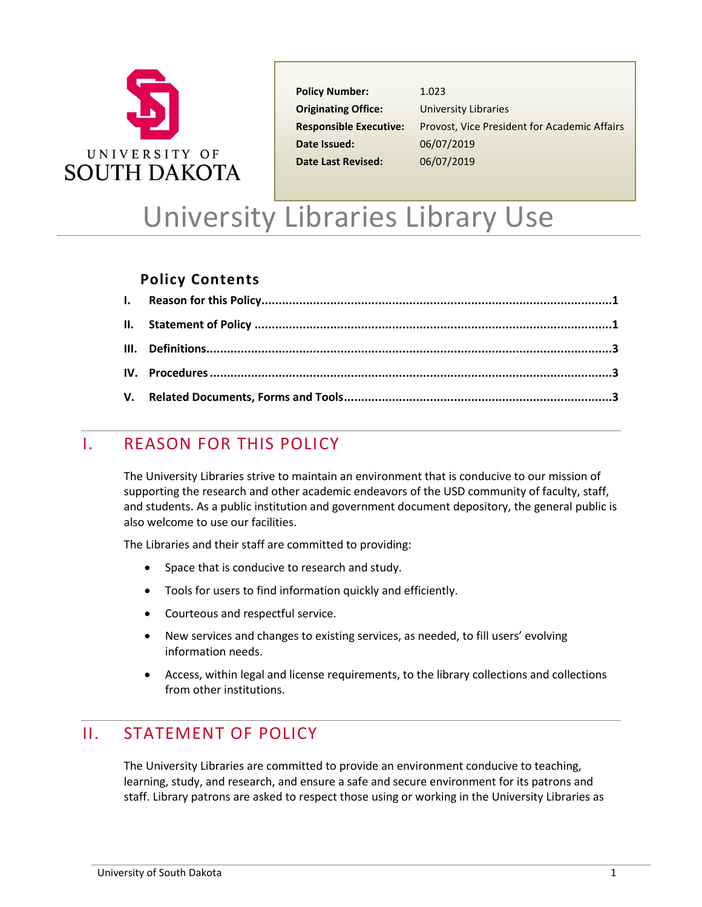

**Policy Number:** 1.023 **Originating Office:** University Libraries **Date Issued:** 06/07/2019 **Date Last Revised:** 06/07/2019

**Responsible Executive:** Provost, Vice President for Academic Affairs

# University Libraries Library Use

### **Policy Contents**

## <span id="page-0-0"></span>I. REASON FOR THIS POLICY

The University Libraries strive to maintain an environment that is conducive to our mission of supporting the research and other academic endeavors of the USD community of faculty, staff, and students. As a public institution and government document depository, the general public is also welcome to use our facilities.

The Libraries and their staff are committed to providing:

- Space that is conducive to research and study.
- Tools for users to find information quickly and efficiently.
- Courteous and respectful service.
- New services and changes to existing services, as needed, to fill users' evolving information needs.
- <span id="page-0-1"></span>• Access, within legal and license requirements, to the library collections and collections from other institutions.

## II. STATEMENT OF POLICY

The University Libraries are committed to provide an environment conducive to teaching, learning, study, and research, and ensure a safe and secure environment for its patrons and staff. Library patrons are asked to respect those using or working in the University Libraries as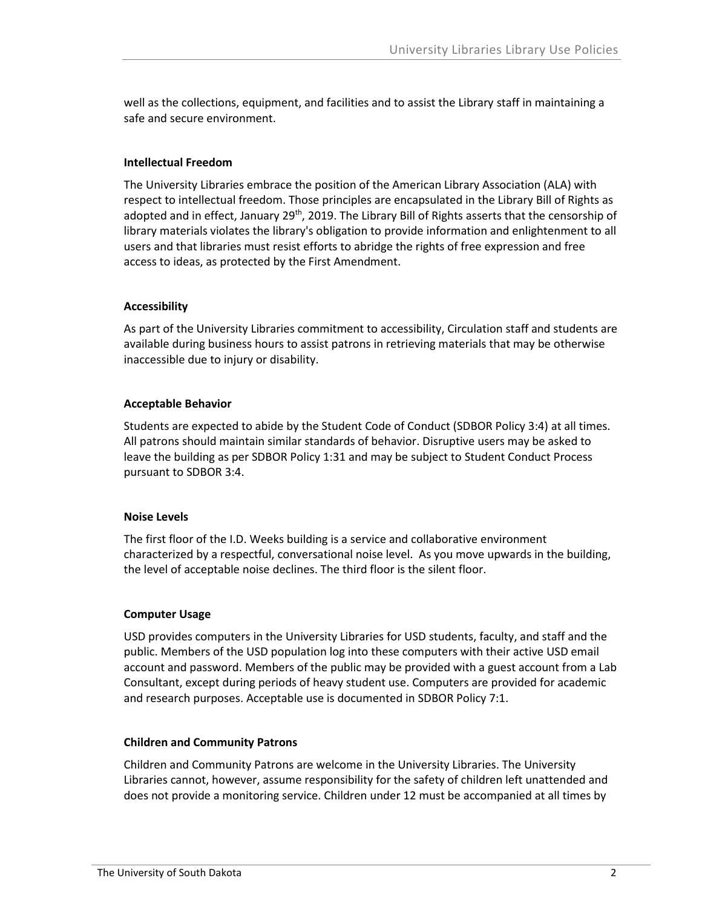well as the collections, equipment, and facilities and to assist the Library staff in maintaining a safe and secure environment.

#### **Intellectual Freedom**

The University Libraries embrace the position of the American Library Association (ALA) with respect to intellectual freedom. Those principles are encapsulated in the Library Bill of Rights as adopted and in effect, January 29<sup>th</sup>, 2019. The Library Bill of Rights asserts that the censorship of library materials violates the library's obligation to provide information and enlightenment to all users and that libraries must resist efforts to abridge the rights of free expression and free access to ideas, as protected by the First Amendment.

#### **Accessibility**

As part of the University Libraries commitment to accessibility, Circulation staff and students are available during business hours to assist patrons in retrieving materials that may be otherwise inaccessible due to injury or disability.

#### **Acceptable Behavior**

Students are expected to abide by the Student Code of Conduct (SDBOR Policy 3:4) at all times. All patrons should maintain similar standards of behavior. Disruptive users may be asked to leave the building as per SDBOR Policy 1:31 and may be subject to Student Conduct Process pursuant to SDBOR 3:4.

#### **Noise Levels**

The first floor of the I.D. Weeks building is a service and collaborative environment characterized by a respectful, conversational noise level. As you move upwards in the building, the level of acceptable noise declines. The third floor is the silent floor.

#### **Computer Usage**

USD provides computers in the University Libraries for USD students, faculty, and staff and the public. Members of the USD population log into these computers with their active USD email account and password. Members of the public may be provided with a guest account from a Lab Consultant, except during periods of heavy student use. Computers are provided for academic and research purposes. Acceptable use is documented in SDBOR Policy 7:1.

#### **Children and Community Patrons**

Children and Community Patrons are welcome in the University Libraries. The University Libraries cannot, however, assume responsibility for the safety of children left unattended and does not provide a monitoring service. Children under 12 must be accompanied at all times by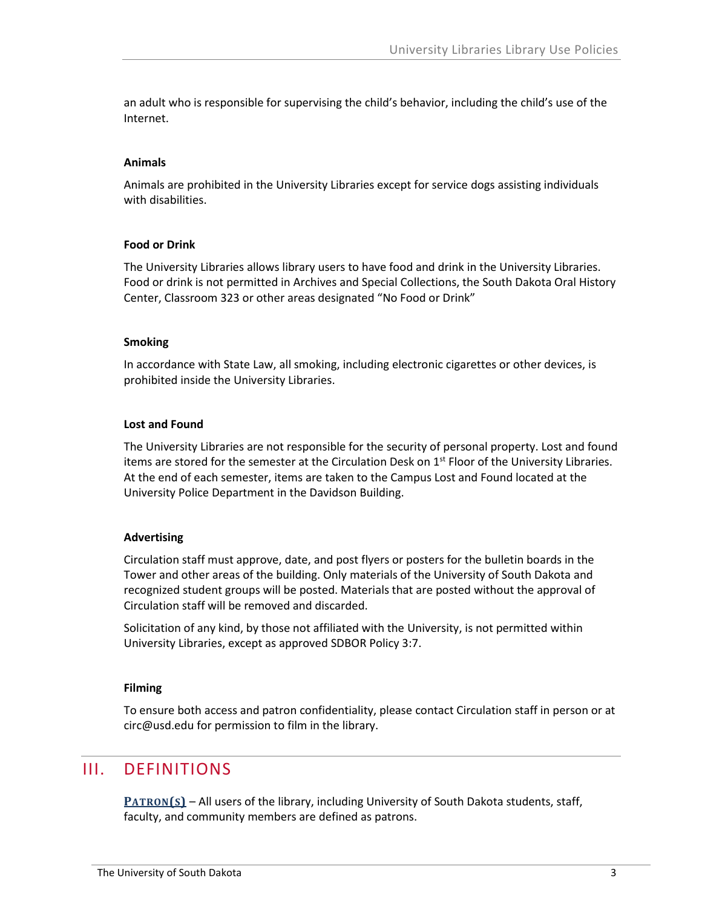an adult who is responsible for supervising the child's behavior, including the child's use of the Internet.

#### **Animals**

Animals are prohibited in the University Libraries except for service dogs assisting individuals with disabilities.

#### **Food or Drink**

The University Libraries allows library users to have food and drink in the University Libraries. Food or drink is not permitted in Archives and Special Collections, the South Dakota Oral History Center, Classroom 323 or other areas designated "No Food or Drink"

#### **Smoking**

In accordance with State Law, all smoking, including electronic cigarettes or other devices, is prohibited inside the University Libraries.

#### **Lost and Found**

The University Libraries are not responsible for the security of personal property. Lost and found items are stored for the semester at the Circulation Desk on  $1<sup>st</sup>$  Floor of the University Libraries. At the end of each semester, items are taken to the Campus Lost and Found located at the University Police Department in the Davidson Building.

#### **Advertising**

Circulation staff must approve, date, and post flyers or posters for the bulletin boards in the Tower and other areas of the building. Only materials of the University of South Dakota and recognized student groups will be posted. Materials that are posted without the approval of Circulation staff will be removed and discarded.

Solicitation of any kind, by those not affiliated with the University, is not permitted within University Libraries, except as approved SDBOR Policy 3:7.

#### **Filming**

<span id="page-2-0"></span>To ensure both access and patron confidentiality, please contact Circulation staff in person or at circ@usd.edu for permission to film in the library.

## III. DEFINITIONS

**PATRON(S)** – All users of the library, including University of South Dakota students, staff, faculty, and community members are defined as patrons.